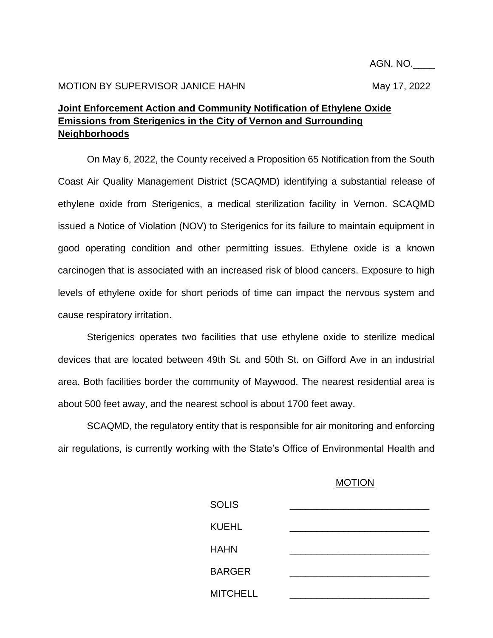## **Joint Enforcement Action and Community Notification of Ethylene Oxide Emissions from Sterigenics in the City of Vernon and Surrounding Neighborhoods**

On May 6, 2022, the County received a Proposition 65 Notification from the South Coast Air Quality Management District (SCAQMD) identifying a substantial release of ethylene oxide from Sterigenics, a medical sterilization facility in Vernon. SCAQMD issued a Notice of Violation (NOV) to Sterigenics for its failure to maintain equipment in good operating condition and other permitting issues. Ethylene oxide is a known carcinogen that is associated with an increased risk of blood cancers. Exposure to high levels of ethylene oxide for short periods of time can impact the nervous system and cause respiratory irritation.

Sterigenics operates two facilities that use ethylene oxide to sterilize medical devices that are located between 49th St. and 50th St. on Gifford Ave in an industrial area. Both facilities border the community of Maywood. The nearest residential area is about 500 feet away, and the nearest school is about 1700 feet away.

SCAQMD, the regulatory entity that is responsible for air monitoring and enforcing air regulations, is currently working with the State's Office of Environmental Health and

## **MOTION**

| <b>SOLIS</b>    |  |
|-----------------|--|
| <b>KUEHL</b>    |  |
| <b>HAHN</b>     |  |
| <b>BARGER</b>   |  |
| <b>MITCHELL</b> |  |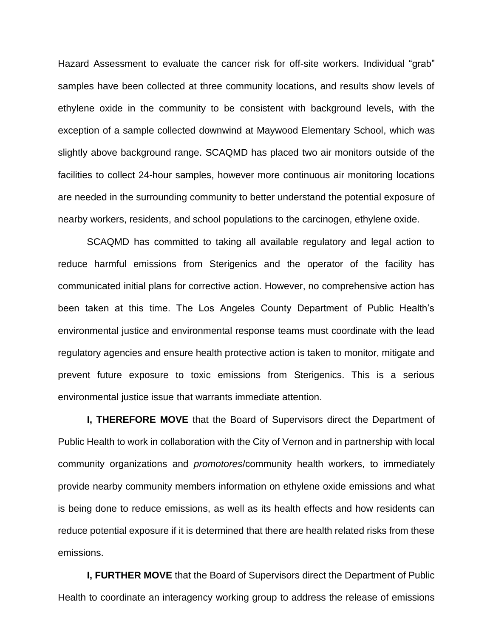Hazard Assessment to evaluate the cancer risk for off-site workers. Individual "grab" samples have been collected at three community locations, and results show levels of ethylene oxide in the community to be consistent with background levels, with the exception of a sample collected downwind at Maywood Elementary School, which was slightly above background range. SCAQMD has placed two air monitors outside of the facilities to collect 24-hour samples, however more continuous air monitoring locations are needed in the surrounding community to better understand the potential exposure of nearby workers, residents, and school populations to the carcinogen, ethylene oxide.

SCAQMD has committed to taking all available regulatory and legal action to reduce harmful emissions from Sterigenics and the operator of the facility has communicated initial plans for corrective action. However, no comprehensive action has been taken at this time. The Los Angeles County Department of Public Health's environmental justice and environmental response teams must coordinate with the lead regulatory agencies and ensure health protective action is taken to monitor, mitigate and prevent future exposure to toxic emissions from Sterigenics. This is a serious environmental justice issue that warrants immediate attention.

**I, THEREFORE MOVE** that the Board of Supervisors direct the Department of Public Health to work in collaboration with the City of Vernon and in partnership with local community organizations and *promotores*/community health workers, to immediately provide nearby community members information on ethylene oxide emissions and what is being done to reduce emissions, as well as its health effects and how residents can reduce potential exposure if it is determined that there are health related risks from these emissions.

**I, FURTHER MOVE** that the Board of Supervisors direct the Department of Public Health to coordinate an interagency working group to address the release of emissions